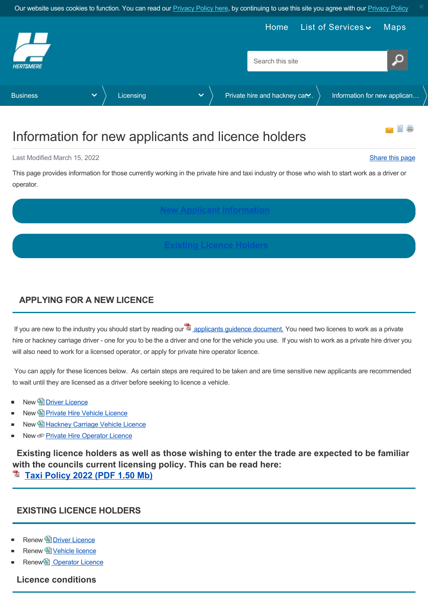<span id="page-0-2"></span>

# Information for new applicants and licence holders

Last Modified March 15, 2022 [Share this page](http://www.addthis.com/bookmark.php?v=250&pubid=xa-502e5fd570edcb1e) of the state of the state of the state of the state of the state of the state of the state of the state of the state of the state of the state of the state of the state of the s

自己

This page provides information for those currently working in the private hire and taxi industry or those who wish to start work as a driver or operator.

### <span id="page-0-0"></span>**APPLYING FOR A NEW LICENCE**

If you are new to the industry you should start by reading our  $\Delta$  [applicants guidence document.](https://www.hertsmere.gov.uk/Documents/02-Business/Licensing/Private-hire--Hackney-Carriage-Licensing/2022-guidelines-for-new-applicants.pdf) You need two licenes to work as a private hire or hackney carriage driver - one for you to be the a driver and one for the vehicle you use. If you wish to work as a private hire driver you will also need to work for a licensed operator, or apply for private hire operator licence.

 You can apply for these licences below. As certain steps are required to be taken and are time sensitive new applicants are recommended to wait until they are licensed as a driver before seeking to licence a vehicle.

- **New 图 [Driver Licence](https://www.hertsmere.gov.uk/Business/Licensing/Private-hire--Hackney-Carriage-Licensing/New-Driver-Licences.aspx)**
- New **[Private Hire Vehicle Licence](https://www.hertsmere.gov.uk/Business/Licensing/Private-hire--Hackney-Carriage-Licensing/New-Private-Hire-Vehicle.aspx)**
- New **[Hackney Carriage Vehicle Licence](https://www.hertsmere.gov.uk/Business/Licensing/Private-hire--Hackney-Carriage-Licensing/New-Hackney-Carriage-Vehicle-Licence.aspx)**
- New **[Private Hire Operator Licence](https://www.hertsmere.gov.uk/Business/Licensing/Private-hire--Hackney-Carriage-Licensing/Private-hire---operator-licence.aspx)**

<span id="page-0-1"></span>**Existing licence holders as well as those wishing to enter the trade are expected to be familiar with the councils current licensing policy. This can be read here:**

**[Taxi Policy 2022 \(PDF 1.50 Mb\)](https://www.hertsmere.gov.uk/Documents/02-Business/Licensing/Private-hire--Hackney-Carriage-Licensing/Taxi-Policy-2022-PDF-1.50-Mb.pdf)**

#### **EXISTING LICENCE HOLDERS**

- **Renew 图 [Driver Licence](https://www.hertsmere.gov.uk/Business/Licensing/Private-hire--Hackney-Carriage-Licensing/RENEW-PRIVATE-HIRE-AND-HACKNEY-CARRIAGE-DRIVER-LICENCE.aspx)**
- Renew la [Vehicle licence](https://www.hertsmere.gov.uk/Business/Licensing/Private-hire--Hackney-Carriage-Licensing/RENEW-VEHICLE-LICENCE.aspx)
- Renew **Operator Licence**

**Licence conditions**